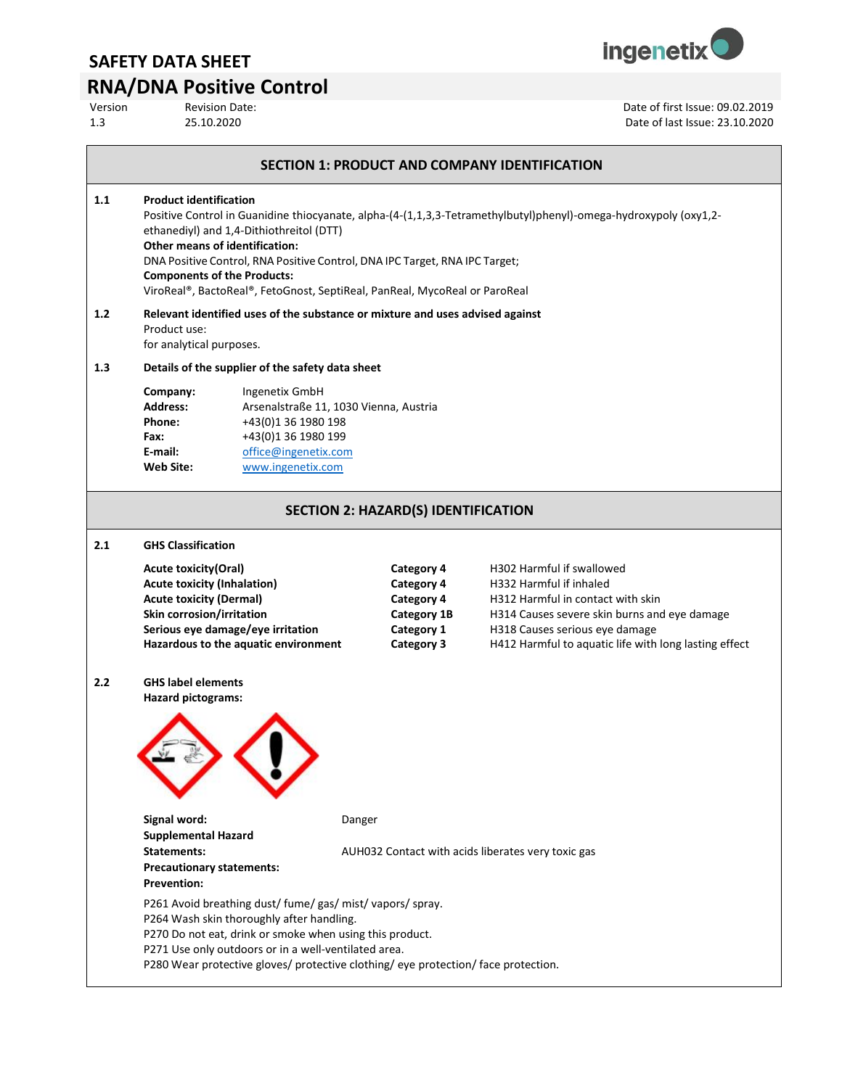

# **RNA/DNA Positive Control**<br>Version Revision Date:

Version Revision Date:<br>
25.10.2020<br>
25.10.2020 1.3 25.10.2020 Date of last Issue: 23.10.2020

|     |                                                                                                                                                                                                                                                                                                                                                                                                                                    |                                                                               |                                                                                                        | <b>SECTION 1: PRODUCT AND COMPANY IDENTIFICATION</b>                                                                                                                                                                                 |  |
|-----|------------------------------------------------------------------------------------------------------------------------------------------------------------------------------------------------------------------------------------------------------------------------------------------------------------------------------------------------------------------------------------------------------------------------------------|-------------------------------------------------------------------------------|--------------------------------------------------------------------------------------------------------|--------------------------------------------------------------------------------------------------------------------------------------------------------------------------------------------------------------------------------------|--|
| 1.1 | <b>Product identification</b><br>Positive Control in Guanidine thiocyanate, alpha-(4-(1,1,3,3-Tetramethylbutyl)phenyl)-omega-hydroxypoly (oxy1,2-<br>ethanediyl) and 1,4-Dithiothreitol (DTT)<br>Other means of identification:<br>DNA Positive Control, RNA Positive Control, DNA IPC Target, RNA IPC Target;<br><b>Components of the Products:</b><br>ViroReal®, BactoReal®, FetoGnost, SeptiReal, PanReal, MycoReal or ParoReal |                                                                               |                                                                                                        |                                                                                                                                                                                                                                      |  |
| 1.2 | Product use:<br>for analytical purposes.                                                                                                                                                                                                                                                                                                                                                                                           | Relevant identified uses of the substance or mixture and uses advised against |                                                                                                        |                                                                                                                                                                                                                                      |  |
| 1.3 |                                                                                                                                                                                                                                                                                                                                                                                                                                    | Details of the supplier of the safety data sheet                              |                                                                                                        |                                                                                                                                                                                                                                      |  |
|     | Company:<br>Ingenetix GmbH<br><b>Address:</b><br>Arsenalstraße 11, 1030 Vienna, Austria<br>+43(0)1 36 1980 198<br>Phone:<br>+43(0)1 36 1980 199<br>Fax:<br>E-mail:<br>office@ingenetix.com<br><b>Web Site:</b><br>www.ingenetix.com                                                                                                                                                                                                |                                                                               |                                                                                                        |                                                                                                                                                                                                                                      |  |
|     |                                                                                                                                                                                                                                                                                                                                                                                                                                    |                                                                               | <b>SECTION 2: HAZARD(S) IDENTIFICATION</b>                                                             |                                                                                                                                                                                                                                      |  |
| 2.1 | <b>GHS Classification</b>                                                                                                                                                                                                                                                                                                                                                                                                          |                                                                               |                                                                                                        |                                                                                                                                                                                                                                      |  |
|     | <b>Acute toxicity (Oral)</b><br><b>Acute toxicity (Inhalation)</b><br><b>Acute toxicity (Dermal)</b><br>Skin corrosion/irritation<br>Serious eye damage/eye irritation                                                                                                                                                                                                                                                             | Hazardous to the aquatic environment                                          | Category 4<br><b>Category 4</b><br><b>Category 4</b><br><b>Category 1B</b><br>Category 1<br>Category 3 | H302 Harmful if swallowed<br>H332 Harmful if inhaled<br>H312 Harmful in contact with skin<br>H314 Causes severe skin burns and eye damage<br>H318 Causes serious eye damage<br>H412 Harmful to aquatic life with long lasting effect |  |
| 2.2 | <b>GHS label elements</b><br><b>Hazard pictograms:</b><br>Signal word:                                                                                                                                                                                                                                                                                                                                                             | Danger                                                                        |                                                                                                        |                                                                                                                                                                                                                                      |  |
|     | <b>Supplemental Hazard</b><br>Statements:<br>AUH032 Contact with acids liberates very toxic gas<br><b>Precautionary statements:</b><br><b>Prevention:</b>                                                                                                                                                                                                                                                                          |                                                                               |                                                                                                        |                                                                                                                                                                                                                                      |  |
|     | P261 Avoid breathing dust/ fume/ gas/ mist/ vapors/ spray.<br>P264 Wash skin thoroughly after handling.<br>P270 Do not eat, drink or smoke when using this product.<br>P271 Use only outdoors or in a well-ventilated area.<br>P280 Wear protective gloves/ protective clothing/ eye protection/ face protection.                                                                                                                  |                                                                               |                                                                                                        |                                                                                                                                                                                                                                      |  |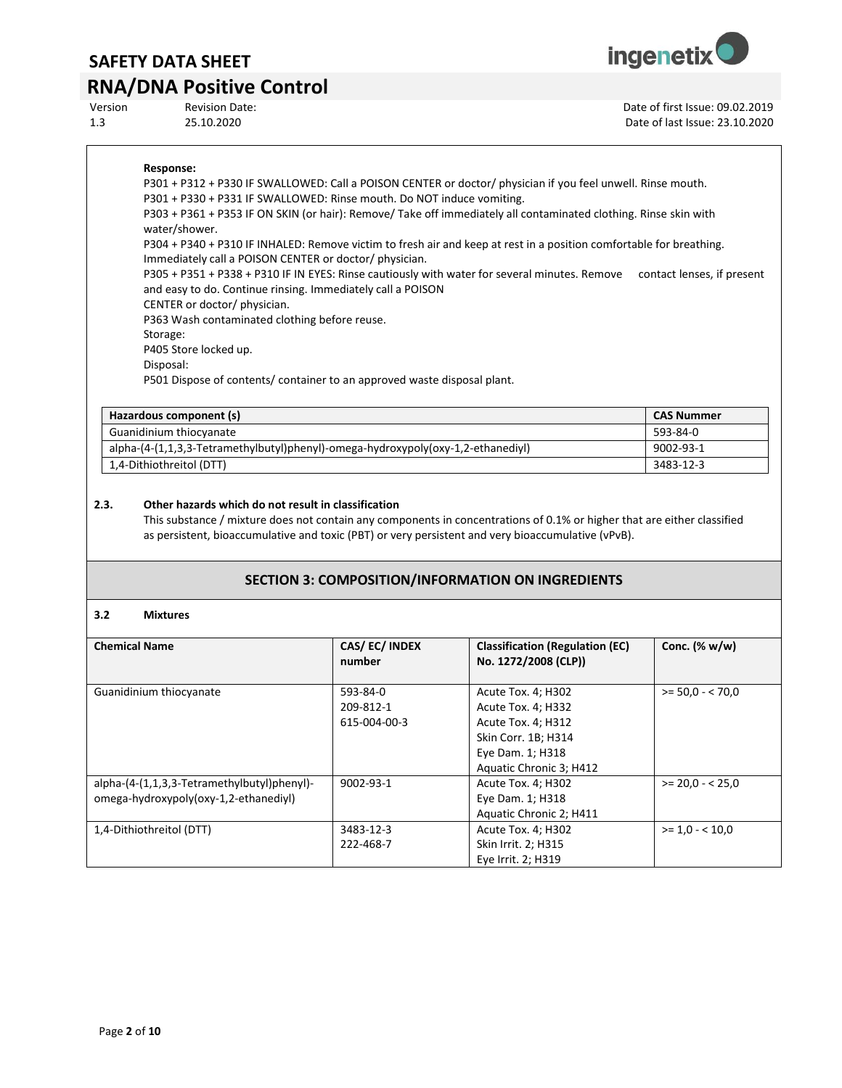## **RNA/DNA Positive Control**

Version Revision Date: Date of first Issue: 09.02.2019 1.3 25.10.2020 Date of last Issue: 23.10.2020

**ingenetix** 

#### **Response:**

P301 + P312 + P330 IF SWALLOWED: Call a POISON CENTER or doctor/ physician if you feel unwell. Rinse mouth. P301 + P330 + P331 IF SWALLOWED: Rinse mouth. Do NOT induce vomiting. P303 + P361 + P353 IF ON SKIN (or hair): Remove/ Take off immediately all contaminated clothing. Rinse skin with water/shower. P304 + P340 + P310 IF INHALED: Remove victim to fresh air and keep at rest in a position comfortable for breathing. Immediately call a POISON CENTER or doctor/ physician. P305 + P351 + P338 + P310 IF IN EYES: Rinse cautiously with water for several minutes. Remove contact lenses, if present and easy to do. Continue rinsing. Immediately call a POISON

CENTER or doctor/ physician.

P363 Wash contaminated clothing before reuse.

Storage:

P405 Store locked up.

Disposal:

P501 Dispose of contents/ container to an approved waste disposal plant.

| Hazardous component (s)                                                          | <b>CAS Nummer</b> |
|----------------------------------------------------------------------------------|-------------------|
| Guanidinium thiocyanate                                                          | 593-84-0          |
| alpha-(4-(1,1,3,3-Tetramethylbutyl)phenyl)-omega-hydroxypoly(oxy-1,2-ethanediyl) | 9002-93-1         |
| 1,4-Dithiothreitol (DTT)                                                         | 3483-12-3         |

#### **2.3. Other hazards which do not result in classification**

This substance / mixture does not contain any components in concentrations of 0.1% or higher that are either classified as persistent, bioaccumulative and toxic (PBT) or very persistent and very bioaccumulative (vPvB).

#### **SECTION 3: COMPOSITION/INFORMATION ON INGREDIENTS**

#### **3.2 Mixtures**

| <b>Chemical Name</b>                                                                 | CAS/EC/INDEX<br>number                | <b>Classification (Regulation (EC)</b><br>No. 1272/2008 (CLP))                                                                       | Conc. $(\% w/w)$ |
|--------------------------------------------------------------------------------------|---------------------------------------|--------------------------------------------------------------------------------------------------------------------------------------|------------------|
| Guanidinium thiocyanate                                                              | 593-84-0<br>209-812-1<br>615-004-00-3 | Acute Tox. 4; H302<br>Acute Tox. 4; H332<br>Acute Tox. 4; H312<br>Skin Corr. 1B; H314<br>Eye Dam. 1; H318<br>Aquatic Chronic 3; H412 | $>= 50.0 - 70.0$ |
| alpha-(4-(1,1,3,3-Tetramethylbutyl)phenyl)-<br>omega-hydroxypoly(oxy-1,2-ethanediyl) | 9002-93-1                             | Acute Tox. 4; H302<br>Eye Dam. 1; H318<br>Aquatic Chronic 2; H411                                                                    | $>= 20.0 - 25.0$ |
| 1,4-Dithiothreitol (DTT)                                                             | 3483-12-3<br>222-468-7                | Acute Tox. 4; H302<br>Skin Irrit. 2; H315<br>Eye Irrit. 2; H319                                                                      | $>= 1.0 - 10.0$  |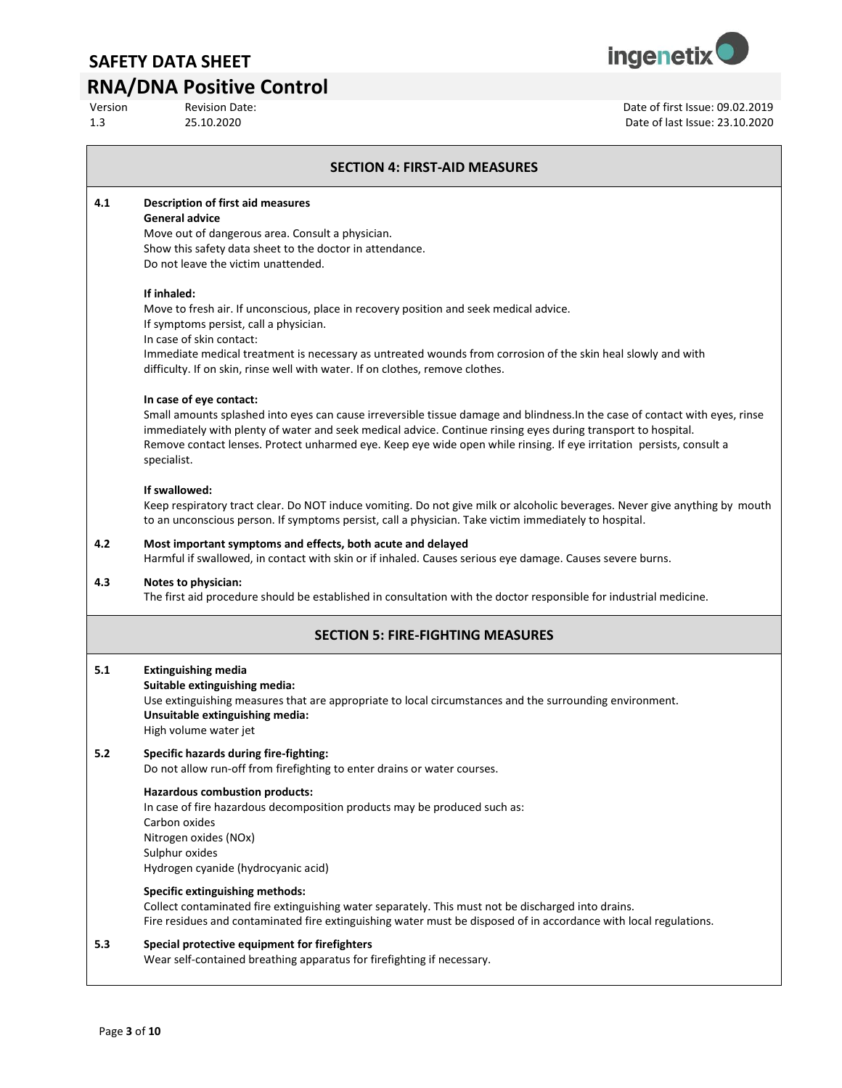### **RNA/DNA Positive Control**

| <b>Revision Date:</b> |
|-----------------------|
| 25 10 2020            |



Version Revision Date: Date of first Issue: 09.02.2019 1.3 25.10.2020 Date of last Issue: 23.10.2020

#### **SECTION 4: FIRST-AID MEASURES**

**4.1 Description of first aid measures**

#### **General advice**

Move out of dangerous area. Consult a physician. Show this safety data sheet to the doctor in attendance. Do not leave the victim unattended.

#### **If inhaled:**

Move to fresh air. If unconscious, place in recovery position and seek medical advice. If symptoms persist, call a physician.

In case of skin contact:

Immediate medical treatment is necessary as untreated wounds from corrosion of the skin heal slowly and with difficulty. If on skin, rinse well with water. If on clothes, remove clothes.

#### **In case of eye contact:**

Small amounts splashed into eyes can cause irreversible tissue damage and blindness.In the case of contact with eyes, rinse immediately with plenty of water and seek medical advice. Continue rinsing eyes during transport to hospital. Remove contact lenses. Protect unharmed eye. Keep eye wide open while rinsing. If eye irritation persists, consult a specialist.

#### **If swallowed:**

Keep respiratory tract clear. Do NOT induce vomiting. Do not give milk or alcoholic beverages. Never give anything by mouth to an unconscious person. If symptoms persist, call a physician. Take victim immediately to hospital.

#### **4.2 Most important symptoms and effects, both acute and delayed**

Harmful if swallowed, in contact with skin or if inhaled. Causes serious eye damage. Causes severe burns.

#### **4.3 Notes to physician:**

The first aid procedure should be established in consultation with the doctor responsible for industrial medicine.

### **SECTION 5: FIRE-FIGHTING MEASURES**

#### **5.1 Extinguishing media**

#### **Suitable extinguishing media:**

Use extinguishing measures that are appropriate to local circumstances and the surrounding environment. **Unsuitable extinguishing media:**

High volume water jet

### **5.2 Specific hazards during fire-fighting:**

Do not allow run-off from firefighting to enter drains or water courses.

#### **Hazardous combustion products:**

In case of fire hazardous decomposition products may be produced such as: Carbon oxides Nitrogen oxides (NOx) Sulphur oxides Hydrogen cyanide (hydrocyanic acid)

#### **Specific extinguishing methods:**

Collect contaminated fire extinguishing water separately. This must not be discharged into drains. Fire residues and contaminated fire extinguishing water must be disposed of in accordance with local regulations.

#### **5.3 Special protective equipment for firefighters**

Wear self-contained breathing apparatus for firefighting if necessary.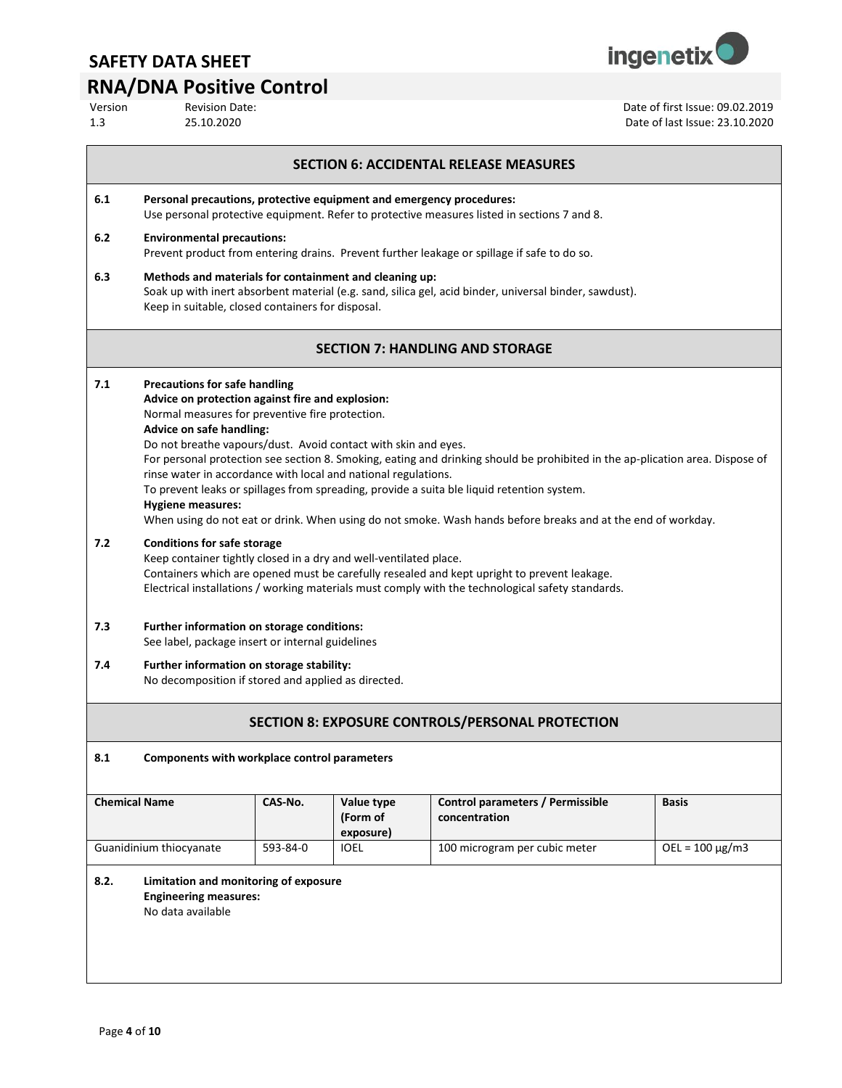

# **RNA/DNA Positive Control**<br>Version Revision Date:

Date of first Issue: 09.02.2019

| 1.3                                                     | 25.10.2020                                                                                                                                                                                                                                                                                                                                                                                                                                                                                                                                                                                                                                                                             |          |             | Date of last Issue: 23.10.2020                                                                         |                              |  |
|---------------------------------------------------------|----------------------------------------------------------------------------------------------------------------------------------------------------------------------------------------------------------------------------------------------------------------------------------------------------------------------------------------------------------------------------------------------------------------------------------------------------------------------------------------------------------------------------------------------------------------------------------------------------------------------------------------------------------------------------------------|----------|-------------|--------------------------------------------------------------------------------------------------------|------------------------------|--|
| <b>SECTION 6: ACCIDENTAL RELEASE MEASURES</b>           |                                                                                                                                                                                                                                                                                                                                                                                                                                                                                                                                                                                                                                                                                        |          |             |                                                                                                        |                              |  |
| 6.1                                                     | Personal precautions, protective equipment and emergency procedures:<br>Use personal protective equipment. Refer to protective measures listed in sections 7 and 8.                                                                                                                                                                                                                                                                                                                                                                                                                                                                                                                    |          |             |                                                                                                        |                              |  |
| 6.2                                                     | <b>Environmental precautions:</b><br>Prevent product from entering drains. Prevent further leakage or spillage if safe to do so.                                                                                                                                                                                                                                                                                                                                                                                                                                                                                                                                                       |          |             |                                                                                                        |                              |  |
| 6.3                                                     | Methods and materials for containment and cleaning up:<br>Keep in suitable, closed containers for disposal.                                                                                                                                                                                                                                                                                                                                                                                                                                                                                                                                                                            |          |             | Soak up with inert absorbent material (e.g. sand, silica gel, acid binder, universal binder, sawdust). |                              |  |
|                                                         |                                                                                                                                                                                                                                                                                                                                                                                                                                                                                                                                                                                                                                                                                        |          |             | <b>SECTION 7: HANDLING AND STORAGE</b>                                                                 |                              |  |
| 7.1                                                     | <b>Precautions for safe handling</b><br>Advice on protection against fire and explosion:<br>Normal measures for preventive fire protection.<br>Advice on safe handling:<br>Do not breathe vapours/dust. Avoid contact with skin and eyes.<br>For personal protection see section 8. Smoking, eating and drinking should be prohibited in the ap-plication area. Dispose of<br>rinse water in accordance with local and national regulations.<br>To prevent leaks or spillages from spreading, provide a suita ble liquid retention system.<br><b>Hygiene measures:</b><br>When using do not eat or drink. When using do not smoke. Wash hands before breaks and at the end of workday. |          |             |                                                                                                        |                              |  |
| 7.2                                                     | <b>Conditions for safe storage</b><br>Keep container tightly closed in a dry and well-ventilated place.<br>Containers which are opened must be carefully resealed and kept upright to prevent leakage.<br>Electrical installations / working materials must comply with the technological safety standards.                                                                                                                                                                                                                                                                                                                                                                            |          |             |                                                                                                        |                              |  |
| 7.3                                                     | Further information on storage conditions:<br>See label, package insert or internal guidelines                                                                                                                                                                                                                                                                                                                                                                                                                                                                                                                                                                                         |          |             |                                                                                                        |                              |  |
| 7.4                                                     | Further information on storage stability:<br>No decomposition if stored and applied as directed.                                                                                                                                                                                                                                                                                                                                                                                                                                                                                                                                                                                       |          |             |                                                                                                        |                              |  |
| <b>SECTION 8: EXPOSURE CONTROLS/PERSONAL PROTECTION</b> |                                                                                                                                                                                                                                                                                                                                                                                                                                                                                                                                                                                                                                                                                        |          |             |                                                                                                        |                              |  |
| 8.1                                                     | Components with workplace control parameters                                                                                                                                                                                                                                                                                                                                                                                                                                                                                                                                                                                                                                           |          |             |                                                                                                        |                              |  |
|                                                         | <b>Chemical Name</b><br>CAS-No.<br>Value type<br>Control parameters / Permissible<br>Basis<br>(Form of<br>concentration<br>exposure)                                                                                                                                                                                                                                                                                                                                                                                                                                                                                                                                                   |          |             |                                                                                                        |                              |  |
|                                                         | Guanidinium thiocyanate                                                                                                                                                                                                                                                                                                                                                                                                                                                                                                                                                                                                                                                                | 593-84-0 | <b>IOEL</b> | 100 microgram per cubic meter                                                                          | $\overline{OEL}$ = 100 µg/m3 |  |
| 8.2.                                                    | Limitation and monitoring of exposure<br><b>Engineering measures:</b>                                                                                                                                                                                                                                                                                                                                                                                                                                                                                                                                                                                                                  |          |             |                                                                                                        |                              |  |

No data available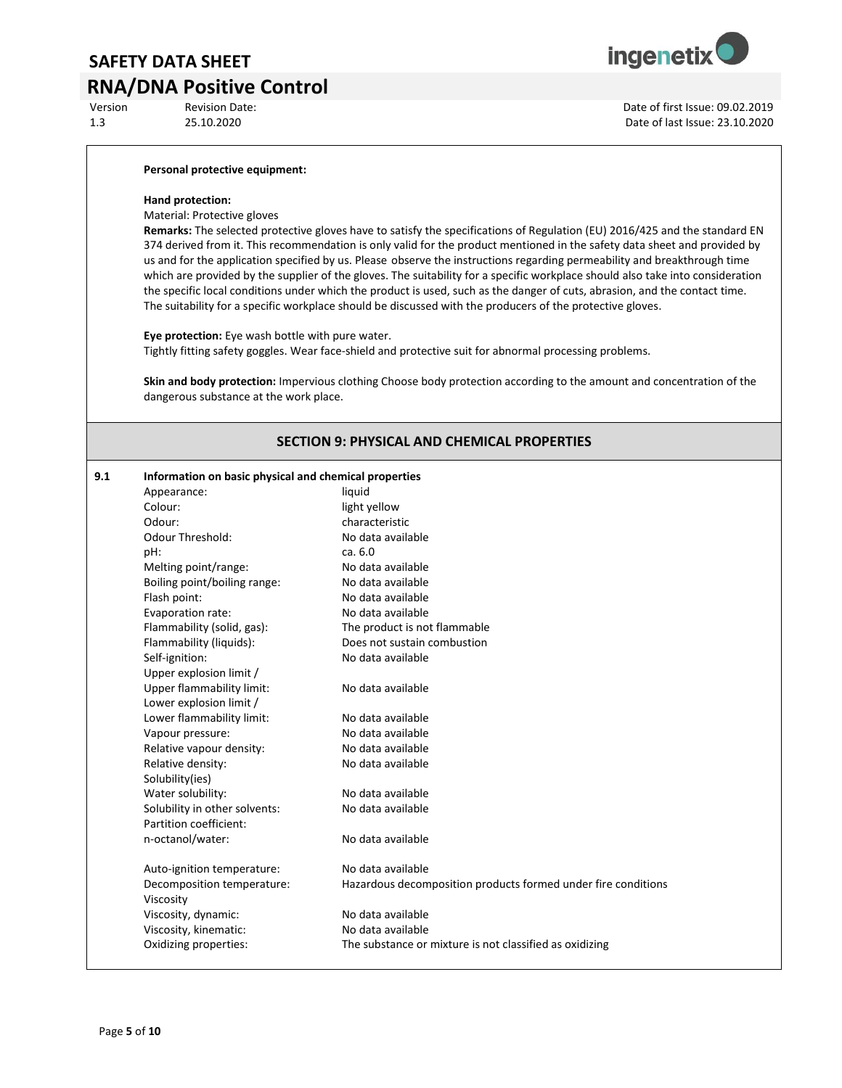## **RNA/DNA Positive Control**<br>Version Revision Date:



Version Revision Date: Date of first Issue: 09.02.2019 1.3 25.10.2020 Date of last Issue: 23.10.2020

#### **Personal protective equipment:**

#### **Hand protection:**

Material: Protective gloves

**Remarks:** The selected protective gloves have to satisfy the specifications of Regulation (EU) 2016/425 and the standard EN 374 derived from it. This recommendation is only valid for the product mentioned in the safety data sheet and provided by us and for the application specified by us. Please observe the instructions regarding permeability and breakthrough time which are provided by the supplier of the gloves. The suitability for a specific workplace should also take into consideration the specific local conditions under which the product is used, such as the danger of cuts, abrasion, and the contact time. The suitability for a specific workplace should be discussed with the producers of the protective gloves.

**Eye protection:** Eye wash bottle with pure water.

Tightly fitting safety goggles. Wear face-shield and protective suit for abnormal processing problems.

**Skin and body protection:** Impervious clothing Choose body protection according to the amount and concentration of the dangerous substance at the work place.

#### **SECTION 9: PHYSICAL AND CHEMICAL PROPERTIES**

| 9.1 | Information on basic physical and chemical properties |                                                               |  |  |  |
|-----|-------------------------------------------------------|---------------------------------------------------------------|--|--|--|
|     | Appearance:                                           | liquid                                                        |  |  |  |
|     | Colour:                                               | light yellow                                                  |  |  |  |
|     | Odour:                                                | characteristic                                                |  |  |  |
|     | Odour Threshold:                                      | No data available                                             |  |  |  |
|     | pH:                                                   | ca. 6.0                                                       |  |  |  |
|     | Melting point/range:                                  | No data available                                             |  |  |  |
|     | Boiling point/boiling range:                          | No data available                                             |  |  |  |
|     | Flash point:                                          | No data available                                             |  |  |  |
|     | Evaporation rate:                                     | No data available                                             |  |  |  |
|     | Flammability (solid, gas):                            | The product is not flammable                                  |  |  |  |
|     | Flammability (liquids):                               | Does not sustain combustion                                   |  |  |  |
|     | Self-ignition:                                        | No data available                                             |  |  |  |
|     | Upper explosion limit /                               |                                                               |  |  |  |
|     | Upper flammability limit:                             | No data available                                             |  |  |  |
|     | Lower explosion limit /                               |                                                               |  |  |  |
|     | Lower flammability limit:                             | No data available                                             |  |  |  |
|     | Vapour pressure:                                      | No data available                                             |  |  |  |
|     | Relative vapour density:                              | No data available                                             |  |  |  |
|     | Relative density:                                     | No data available                                             |  |  |  |
|     | Solubility(ies)                                       |                                                               |  |  |  |
|     | Water solubility:                                     | No data available                                             |  |  |  |
|     | Solubility in other solvents:                         | No data available                                             |  |  |  |
|     | Partition coefficient:                                |                                                               |  |  |  |
|     | n-octanol/water:                                      | No data available                                             |  |  |  |
|     | Auto-ignition temperature:                            | No data available                                             |  |  |  |
|     | Decomposition temperature:                            | Hazardous decomposition products formed under fire conditions |  |  |  |
|     | Viscosity                                             |                                                               |  |  |  |
|     | Viscosity, dynamic:                                   | No data available                                             |  |  |  |
|     | Viscosity, kinematic:                                 | No data available                                             |  |  |  |
|     | Oxidizing properties:                                 | The substance or mixture is not classified as oxidizing       |  |  |  |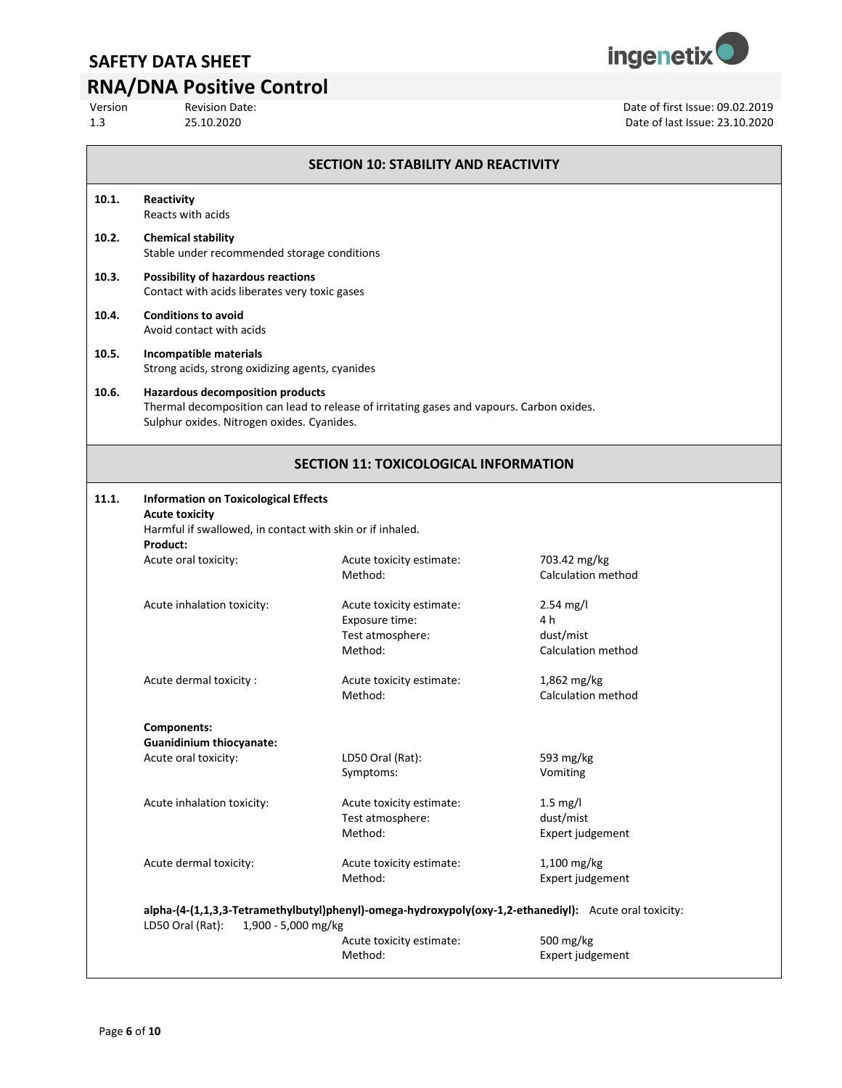

# **RNA/DNA Positive Control**<br>Version Revision Date:

| Version | <b>Revision Date:</b> | Date of first Issue: 09.02.2019 |
|---------|-----------------------|---------------------------------|
| 1.3     | 25.10.2020            | Date of last Issue: 23.10.2020  |
|         |                       |                                 |

| 10.1. | Reactivity<br>Reacts with acids                                                                                                   |                                                                                                        |                                                              |  |  |
|-------|-----------------------------------------------------------------------------------------------------------------------------------|--------------------------------------------------------------------------------------------------------|--------------------------------------------------------------|--|--|
| 10.2. | <b>Chemical stability</b><br>Stable under recommended storage conditions                                                          |                                                                                                        |                                                              |  |  |
| 10.3. | <b>Possibility of hazardous reactions</b><br>Contact with acids liberates very toxic gases                                        |                                                                                                        |                                                              |  |  |
| 10.4. | <b>Conditions to avoid</b><br>Avoid contact with acids                                                                            |                                                                                                        |                                                              |  |  |
| 10.5. | Incompatible materials<br>Strong acids, strong oxidizing agents, cyanides                                                         |                                                                                                        |                                                              |  |  |
| 10.6. | <b>Hazardous decomposition products</b><br>Sulphur oxides. Nitrogen oxides. Cyanides.                                             | Thermal decomposition can lead to release of irritating gases and vapours. Carbon oxides.              |                                                              |  |  |
|       |                                                                                                                                   | <b>SECTION 11: TOXICOLOGICAL INFORMATION</b>                                                           |                                                              |  |  |
| 11.1. | <b>Information on Toxicological Effects</b><br><b>Acute toxicity</b><br>Harmful if swallowed, in contact with skin or if inhaled. |                                                                                                        |                                                              |  |  |
|       | Product:<br>Acute oral toxicity:                                                                                                  | Acute toxicity estimate:<br>Method:                                                                    | 703.42 mg/kg<br>Calculation method                           |  |  |
|       | Acute inhalation toxicity:                                                                                                        | Acute toxicity estimate:<br>Exposure time:<br>Test atmosphere:<br>Method:                              | $2.54$ mg/l<br>4 h<br>dust/mist<br><b>Calculation method</b> |  |  |
|       | Acute dermal toxicity :                                                                                                           | Acute toxicity estimate:<br>Method:                                                                    | $1,862$ mg/kg<br>Calculation method                          |  |  |
|       | <b>Components:</b><br><b>Guanidinium thiocyanate:</b>                                                                             |                                                                                                        |                                                              |  |  |
|       | Acute oral toxicity:                                                                                                              | LD50 Oral (Rat):<br>Symptoms:                                                                          | 593 mg/kg<br>Vomiting                                        |  |  |
|       | Acute inhalation toxicity:                                                                                                        | Acute toxicity estimate:<br>Test atmosphere:<br>Method:                                                | $1.5$ mg/l<br>dust/mist<br>Expert judgement                  |  |  |
|       | Acute dermal toxicity:                                                                                                            | Acute toxicity estimate:<br>Method:                                                                    | 1,100 mg/kg<br>Expert judgement                              |  |  |
|       | LD50 Oral (Rat):<br>1,900 - 5,000 mg/kg                                                                                           | alpha-(4-(1,1,3,3-Tetramethylbutyl)phenyl)-omega-hydroxypoly(oxy-1,2-ethanediyl): Acute oral toxicity: |                                                              |  |  |
|       |                                                                                                                                   | Acute toxicity estimate:<br>Method:                                                                    | 500 mg/kg<br>Expert judgement                                |  |  |

**SECTION 10: STABILITY AND REACTIVITY**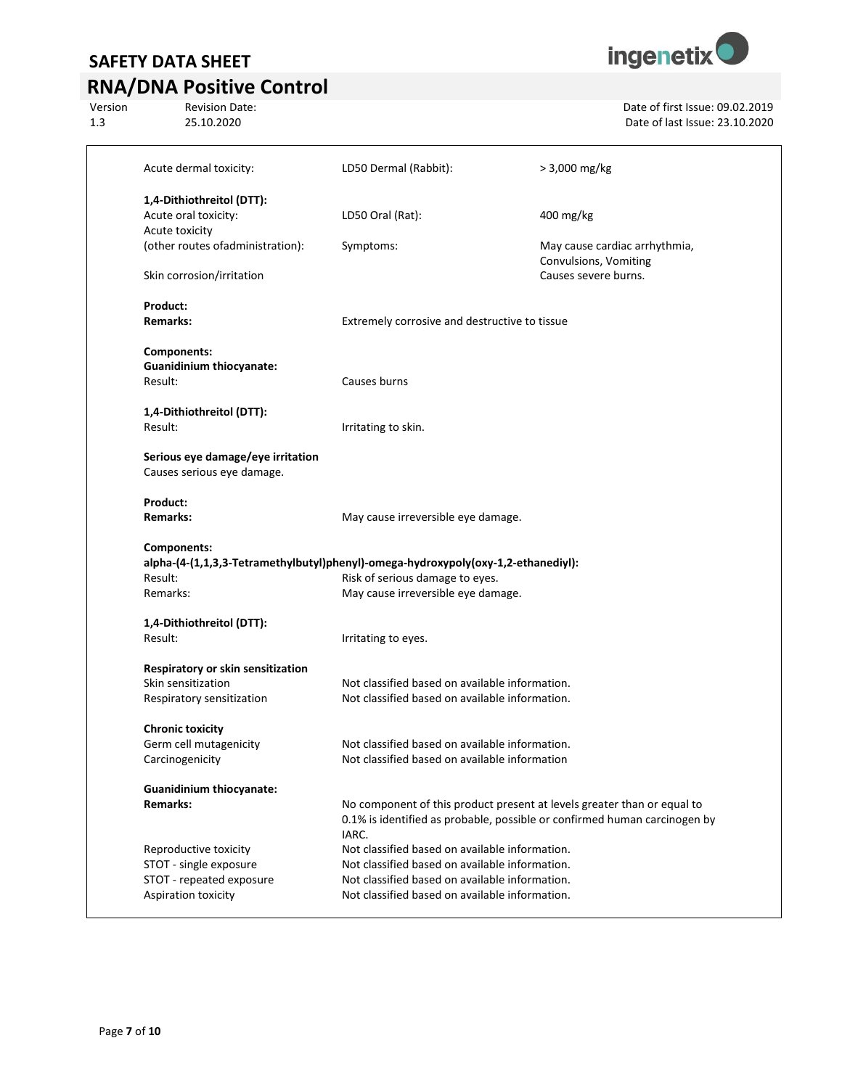# **RNA/DNA Positive Control**<br>Version Revision Date:





Version Revision Date:<br>
25.10.2020<br>
25.10.2020 1.3 25.10.2020 Date of last Issue: 23.10.2020

|                                                                                                                   |                                                                                   | > 3,000 mg/kg                                                                                                                                        |
|-------------------------------------------------------------------------------------------------------------------|-----------------------------------------------------------------------------------|------------------------------------------------------------------------------------------------------------------------------------------------------|
| Acute dermal toxicity:                                                                                            | LD50 Dermal (Rabbit):                                                             |                                                                                                                                                      |
| 1,4-Dithiothreitol (DTT):                                                                                         |                                                                                   |                                                                                                                                                      |
| Acute oral toxicity:                                                                                              | LD50 Oral (Rat):                                                                  | 400 mg/kg                                                                                                                                            |
| Acute toxicity                                                                                                    |                                                                                   |                                                                                                                                                      |
| (other routes ofadministration):                                                                                  | Symptoms:                                                                         | May cause cardiac arrhythmia,<br>Convulsions, Vomiting                                                                                               |
| Skin corrosion/irritation                                                                                         |                                                                                   | Causes severe burns.                                                                                                                                 |
| Product:                                                                                                          |                                                                                   |                                                                                                                                                      |
| <b>Remarks:</b>                                                                                                   | Extremely corrosive and destructive to tissue                                     |                                                                                                                                                      |
| <b>Components:</b>                                                                                                |                                                                                   |                                                                                                                                                      |
| <b>Guanidinium thiocyanate:</b>                                                                                   |                                                                                   |                                                                                                                                                      |
| Result:                                                                                                           | Causes burns                                                                      |                                                                                                                                                      |
| 1,4-Dithiothreitol (DTT):                                                                                         |                                                                                   |                                                                                                                                                      |
| Result:                                                                                                           | Irritating to skin.                                                               |                                                                                                                                                      |
| Serious eye damage/eye irritation                                                                                 |                                                                                   |                                                                                                                                                      |
| Causes serious eye damage.                                                                                        |                                                                                   |                                                                                                                                                      |
|                                                                                                                   |                                                                                   |                                                                                                                                                      |
| Product:                                                                                                          |                                                                                   |                                                                                                                                                      |
| <b>Remarks:</b>                                                                                                   | May cause irreversible eye damage.                                                |                                                                                                                                                      |
| <b>Components:</b>                                                                                                |                                                                                   |                                                                                                                                                      |
|                                                                                                                   | alpha-(4-(1,1,3,3-Tetramethylbutyl)phenyl)-omega-hydroxypoly(oxy-1,2-ethanediyl): |                                                                                                                                                      |
|                                                                                                                   | Risk of serious damage to eyes.                                                   |                                                                                                                                                      |
|                                                                                                                   | May cause irreversible eye damage.                                                |                                                                                                                                                      |
| Result:<br>Remarks:                                                                                               |                                                                                   |                                                                                                                                                      |
|                                                                                                                   | Irritating to eyes.                                                               |                                                                                                                                                      |
| Result:                                                                                                           |                                                                                   |                                                                                                                                                      |
|                                                                                                                   | Not classified based on available information.                                    |                                                                                                                                                      |
| 1,4-Dithiothreitol (DTT):<br>Respiratory or skin sensitization<br>Skin sensitization<br>Respiratory sensitization | Not classified based on available information.                                    |                                                                                                                                                      |
|                                                                                                                   |                                                                                   |                                                                                                                                                      |
|                                                                                                                   | Not classified based on available information.                                    |                                                                                                                                                      |
| <b>Chronic toxicity</b><br>Germ cell mutagenicity<br>Carcinogenicity                                              | Not classified based on available information                                     |                                                                                                                                                      |
|                                                                                                                   |                                                                                   |                                                                                                                                                      |
|                                                                                                                   | IARC.                                                                             | No component of this product present at levels greater than or equal to<br>0.1% is identified as probable, possible or confirmed human carcinogen by |
| <b>Guanidinium thiocyanate:</b><br><b>Remarks:</b><br>Reproductive toxicity                                       | Not classified based on available information.                                    |                                                                                                                                                      |
|                                                                                                                   | Not classified based on available information.                                    |                                                                                                                                                      |
| STOT - single exposure<br>STOT - repeated exposure                                                                | Not classified based on available information.                                    |                                                                                                                                                      |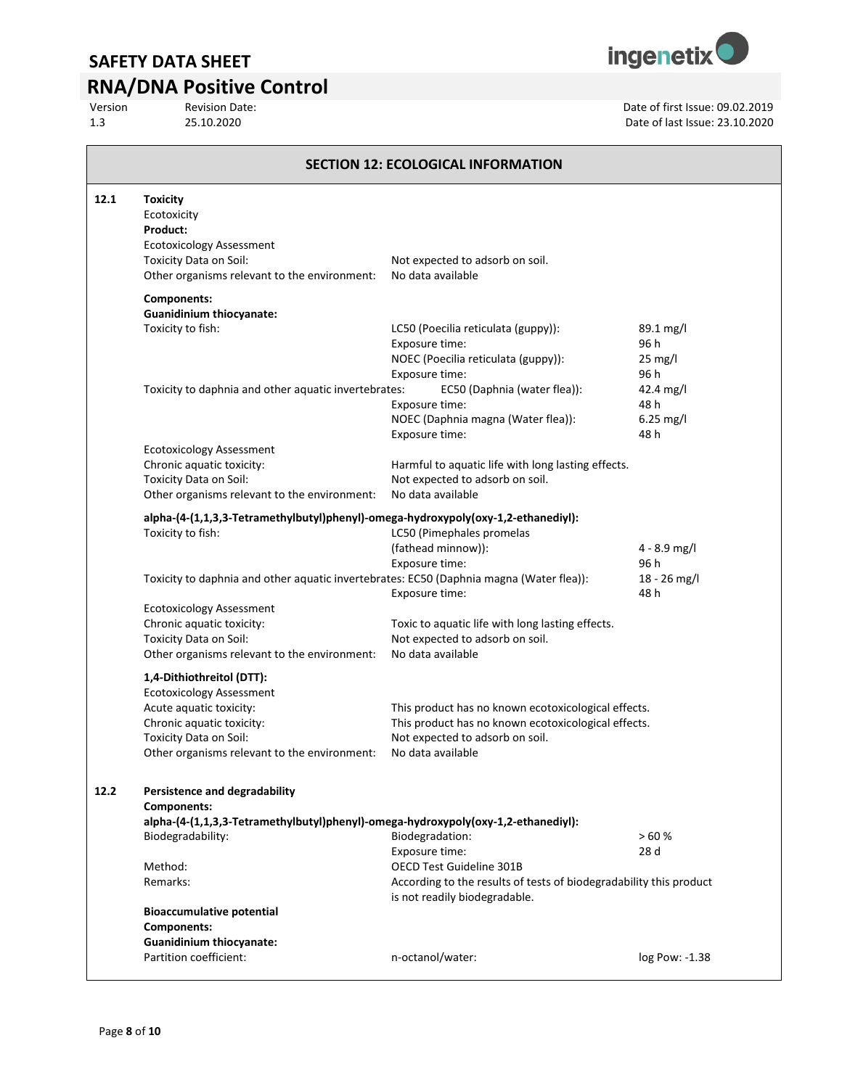# **RNA/DNA Positive Control**<br>Version Revision Date:

Version Revision Date:<br>
25.10.2020<br>
25.10.2020

1.3 25.10.2020 Date of last Issue: 23.10.2020

| <b>SECTION 12: ECOLOGICAL INFORMATION</b> |                                                                                                                                                                                                |                                                                                                                                                                      |                                                    |  |  |
|-------------------------------------------|------------------------------------------------------------------------------------------------------------------------------------------------------------------------------------------------|----------------------------------------------------------------------------------------------------------------------------------------------------------------------|----------------------------------------------------|--|--|
| 12.1                                      | <b>Toxicity</b><br>Ecotoxicity<br>Product:<br><b>Ecotoxicology Assessment</b><br>Toxicity Data on Soil:<br>Other organisms relevant to the environment:                                        | Not expected to adsorb on soil.<br>No data available                                                                                                                 |                                                    |  |  |
|                                           | <b>Components:</b><br><b>Guanidinium thiocyanate:</b><br>Toxicity to fish:                                                                                                                     | LC50 (Poecilia reticulata (guppy)):<br>Exposure time:<br>NOEC (Poecilia reticulata (guppy)):<br>Exposure time:                                                       | $89.1 \,\mathrm{mg/l}$<br>96 h<br>25 mg/l<br>96 h  |  |  |
|                                           | Toxicity to daphnia and other aquatic invertebrates:                                                                                                                                           | EC50 (Daphnia (water flea)):<br>Exposure time:<br>NOEC (Daphnia magna (Water flea)):<br>Exposure time:                                                               | $42.4 \text{ mg/l}$<br>48 h<br>$6.25$ mg/l<br>48 h |  |  |
|                                           | <b>Ecotoxicology Assessment</b><br>Chronic aquatic toxicity:<br>Toxicity Data on Soil:<br>Other organisms relevant to the environment:                                                         | Harmful to aquatic life with long lasting effects.<br>Not expected to adsorb on soil.<br>No data available                                                           |                                                    |  |  |
|                                           | alpha-(4-(1,1,3,3-Tetramethylbutyl)phenyl)-omega-hydroxypoly(oxy-1,2-ethanediyl):<br>Toxicity to fish:                                                                                         | LC50 (Pimephales promelas<br>(fathead minnow)):<br>Exposure time:                                                                                                    | 4 - 8.9 mg/l<br>96 h                               |  |  |
|                                           | Toxicity to daphnia and other aquatic invertebrates: EC50 (Daphnia magna (Water flea)):                                                                                                        | Exposure time:                                                                                                                                                       | 18 - 26 mg/l<br>48 h                               |  |  |
|                                           | <b>Ecotoxicology Assessment</b><br>Chronic aquatic toxicity:<br>Toxicity Data on Soil:<br>Other organisms relevant to the environment:                                                         | Toxic to aquatic life with long lasting effects.<br>Not expected to adsorb on soil.<br>No data available                                                             |                                                    |  |  |
|                                           | 1,4-Dithiothreitol (DTT):<br><b>Ecotoxicology Assessment</b><br>Acute aquatic toxicity:<br>Chronic aquatic toxicity:<br>Toxicity Data on Soil:<br>Other organisms relevant to the environment: | This product has no known ecotoxicological effects.<br>This product has no known ecotoxicological effects.<br>Not expected to adsorb on soil.<br>No data available   |                                                    |  |  |
| 12.2                                      | <b>Persistence and degradability</b><br><b>Components:</b><br>alpha-(4-(1,1,3,3-Tetramethylbutyl)phenyl)-omega-hydroxypoly(oxy-1,2-ethanediyl):                                                |                                                                                                                                                                      |                                                    |  |  |
|                                           | Biodegradability:<br>Method:<br>Remarks:                                                                                                                                                       | Biodegradation:<br>Exposure time:<br>OECD Test Guideline 301B<br>According to the results of tests of biodegradability this product<br>is not readily biodegradable. | >60%<br>28 d                                       |  |  |
|                                           | <b>Bioaccumulative potential</b><br>Components:<br><b>Guanidinium thiocyanate:</b><br>Partition coefficient:                                                                                   | n-octanol/water:                                                                                                                                                     | log Pow: -1.38                                     |  |  |
|                                           |                                                                                                                                                                                                |                                                                                                                                                                      |                                                    |  |  |

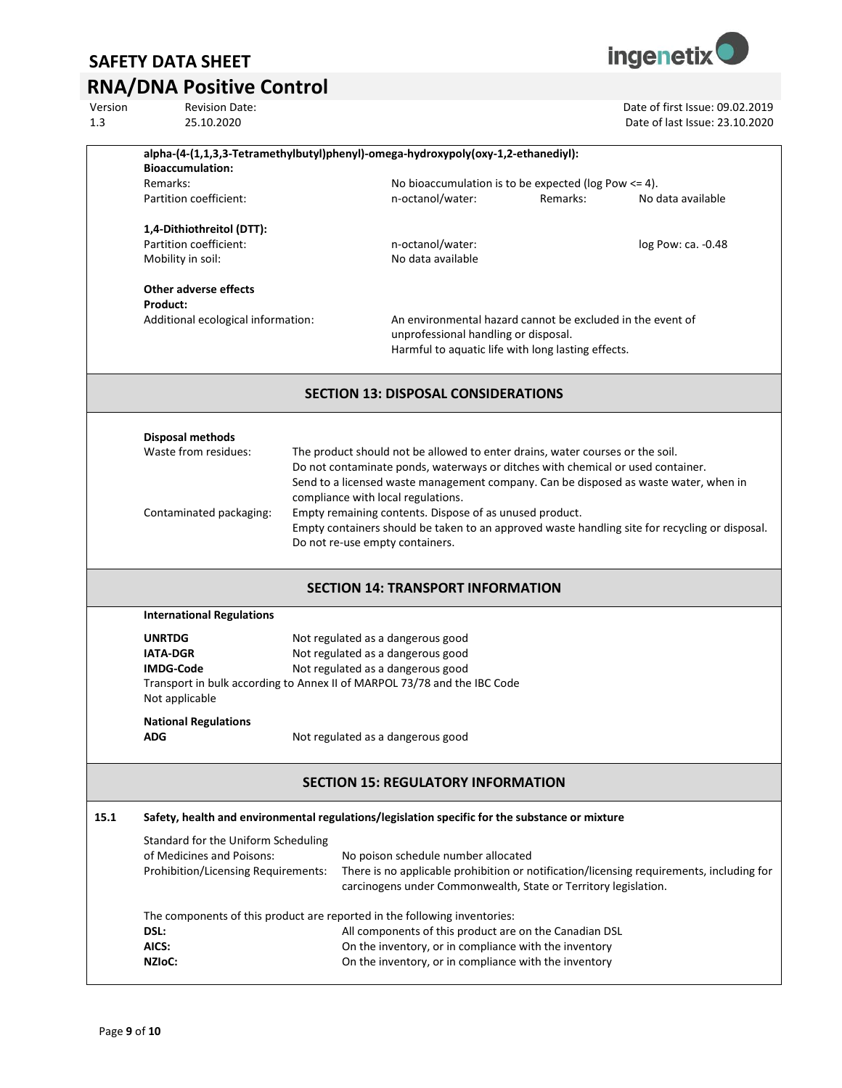# **RNA/DNA Positive Control**<br>Version Revision Date:

|      | alpha-(4-(1,1,3,3-Tetramethylbutyl)phenyl)-omega-hydroxypoly(oxy-1,2-ethanediyl):              |                                                                  |                                                                                      |          |                                                                                                |
|------|------------------------------------------------------------------------------------------------|------------------------------------------------------------------|--------------------------------------------------------------------------------------|----------|------------------------------------------------------------------------------------------------|
|      | <b>Bioaccumulation:</b>                                                                        |                                                                  |                                                                                      |          |                                                                                                |
|      | Remarks:                                                                                       |                                                                  | No bioaccumulation is to be expected ( $log Pow \le 4$ ).                            |          |                                                                                                |
|      | Partition coefficient:                                                                         |                                                                  | n-octanol/water:                                                                     | Remarks: | No data available                                                                              |
|      | 1,4-Dithiothreitol (DTT):                                                                      |                                                                  |                                                                                      |          |                                                                                                |
|      | Partition coefficient:                                                                         |                                                                  | n-octanol/water:                                                                     |          | log Pow: ca. - 0.48                                                                            |
|      | Mobility in soil:                                                                              |                                                                  | No data available                                                                    |          |                                                                                                |
|      | Other adverse effects                                                                          |                                                                  |                                                                                      |          |                                                                                                |
|      | Product:                                                                                       |                                                                  |                                                                                      |          |                                                                                                |
|      | Additional ecological information:                                                             |                                                                  | An environmental hazard cannot be excluded in the event of                           |          |                                                                                                |
|      |                                                                                                |                                                                  | unprofessional handling or disposal.                                                 |          |                                                                                                |
|      |                                                                                                |                                                                  | Harmful to aquatic life with long lasting effects.                                   |          |                                                                                                |
|      |                                                                                                |                                                                  | <b>SECTION 13: DISPOSAL CONSIDERATIONS</b>                                           |          |                                                                                                |
|      |                                                                                                |                                                                  |                                                                                      |          |                                                                                                |
|      | <b>Disposal methods</b>                                                                        |                                                                  |                                                                                      |          |                                                                                                |
|      | Waste from residues:                                                                           |                                                                  | The product should not be allowed to enter drains, water courses or the soil.        |          |                                                                                                |
|      |                                                                                                |                                                                  | Do not contaminate ponds, waterways or ditches with chemical or used container.      |          |                                                                                                |
|      |                                                                                                |                                                                  | Send to a licensed waste management company. Can be disposed as waste water, when in |          |                                                                                                |
|      |                                                                                                |                                                                  | compliance with local regulations.                                                   |          |                                                                                                |
|      | Contaminated packaging:                                                                        |                                                                  | Empty remaining contents. Dispose of as unused product.                              |          | Empty containers should be taken to an approved waste handling site for recycling or disposal. |
|      |                                                                                                |                                                                  | Do not re-use empty containers.                                                      |          |                                                                                                |
|      |                                                                                                |                                                                  |                                                                                      |          |                                                                                                |
|      |                                                                                                |                                                                  | <b>SECTION 14: TRANSPORT INFORMATION</b>                                             |          |                                                                                                |
|      | <b>International Regulations</b>                                                               |                                                                  |                                                                                      |          |                                                                                                |
|      | <b>UNRTDG</b>                                                                                  |                                                                  | Not regulated as a dangerous good                                                    |          |                                                                                                |
|      | <b>IATA-DGR</b>                                                                                |                                                                  | Not regulated as a dangerous good                                                    |          |                                                                                                |
|      | <b>IMDG-Code</b>                                                                               |                                                                  | Not regulated as a dangerous good                                                    |          |                                                                                                |
|      | Transport in bulk according to Annex II of MARPOL 73/78 and the IBC Code<br>Not applicable     |                                                                  |                                                                                      |          |                                                                                                |
|      |                                                                                                |                                                                  |                                                                                      |          |                                                                                                |
|      | <b>National Regulations</b>                                                                    |                                                                  |                                                                                      |          |                                                                                                |
|      | ADG                                                                                            |                                                                  | Not regulated as a dangerous good                                                    |          |                                                                                                |
|      |                                                                                                |                                                                  | <b>SECTION 15: REGULATORY INFORMATION</b>                                            |          |                                                                                                |
|      |                                                                                                |                                                                  |                                                                                      |          |                                                                                                |
| 15.1 | Safety, health and environmental regulations/legislation specific for the substance or mixture |                                                                  |                                                                                      |          |                                                                                                |
|      |                                                                                                | Standard for the Uniform Scheduling                              |                                                                                      |          |                                                                                                |
|      |                                                                                                | of Medicines and Poisons:<br>No poison schedule number allocated |                                                                                      |          |                                                                                                |
|      | Prohibition/Licensing Requirements:                                                            |                                                                  | carcinogens under Commonwealth, State or Territory legislation.                      |          | There is no applicable prohibition or notification/licensing requirements, including for       |
|      |                                                                                                |                                                                  |                                                                                      |          |                                                                                                |
|      | The components of this product are reported in the following inventories:                      |                                                                  |                                                                                      |          |                                                                                                |
|      | DSL:                                                                                           |                                                                  | All components of this product are on the Canadian DSL                               |          |                                                                                                |
|      | AICS:                                                                                          |                                                                  | On the inventory, or in compliance with the inventory                                |          |                                                                                                |
|      | NZIoC:                                                                                         |                                                                  | On the inventory, or in compliance with the inventory                                |          |                                                                                                |
|      |                                                                                                |                                                                  |                                                                                      |          |                                                                                                |



Version Revision Date: Revision Date: Revision Date: Date of first Issue: 09.02.2019<br>
25.10.2020 2014 25:10:2020 1.3 25.10.2020 Date of last Issue: 23.10.2020